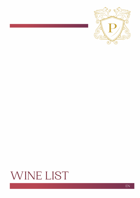

# WINE LIST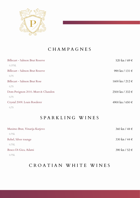

### CHAMPAGNES

| Billecart - Salmon Brut Reserve   | 520 kn / 69 €               |
|-----------------------------------|-----------------------------|
| 0.375L                            |                             |
| Billecart - Salmon Brut Reserve   | 990 kn / 131 $\in$          |
| 0,75                              |                             |
| Billecart - Salmon Brut Rose      | $1600 \text{ kn} / 212 \in$ |
| 0,75                              |                             |
| Dom Perignon 2010. Moet & Chandon | 2500 kn / 332 €             |
| 0,75                              |                             |
| Crystal 2009. Louis Roederer      | 4900 kn / 650 €             |
| 0,75                              |                             |

#### SPARKLING WINES

| Maximo Brut, Vinarija Kutjevo | $360 \text{ kn} / 48 \in$ |
|-------------------------------|---------------------------|
| 0.75L                         |                           |
| Rebel, Silver tounge          | 330 kn / 44 $\in$         |
| 0.75L                         |                           |
| Bosco Di Gica, Adami          | 390 kn / 52 $\in$         |
| 0.75L                         |                           |

## CROATIAN WHITE WINES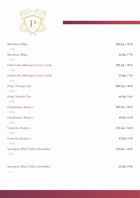

| Maraština, Miljas                  | $265$ kn / 35 €           |
|------------------------------------|---------------------------|
| $0.75\mathrm{L}$                   |                           |
| Maraština, Miljas                  | 52 kn / 7 $\in$           |
| 0.10L                              |                           |
| Dubrovačka Malvasija Tezoro, Crvik | 295 kn / 39 $\in$         |
| 0.75L                              |                           |
| Dubrovačka Malvasija Tezoro, Crvik | 55 kn / 7 $\in$           |
| $0.10\mathrm{L}$                   |                           |
| Pošip, Vinarija Čara               | 295 kn / 39 $\in$         |
| 0.75L                              |                           |
| Pošip, Vinarija Čara               | 60 kn / $8 \in$           |
| 0.10L                              |                           |
| Chardonnay, Kutjevo                | 285 kn / 38 €             |
| $0.75\mathrm{L}$                   |                           |
| Chardonnay, Kutjevo                | 48 kn / $6 \in$           |
| $0.10\mathrm{L}$                   |                           |
| Graševina, Kutjevo                 | 255 kn / 34 €             |
| 0.75L                              |                           |
| Graševina, Kutjevo                 | $43 \text{ kn}$ / 6 $\in$ |
| 0.10L                              |                           |
| Sauvignon Blanc Vidim, Krauthaker  | 330 kn / 44 $\in$         |
| 0,75                               |                           |
|                                    |                           |
| Sauvignon Blanc Vidim, Krauthaker  | 65 kn / 9 $\in$           |

0,1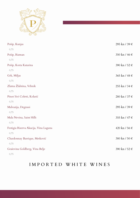

| Pošip, Kunjas                         | 295 kn / 39 € |
|---------------------------------------|---------------|
| 0,75                                  |               |
| Pošip, Rizman                         | 350 kn / 46 € |
| 0,75                                  |               |
| Pošip, Korta Katarina                 | 390 kn / 52 € |
| 0,75                                  |               |
| Grk, Miljas                           | 365 kn / 48 € |
| 0,75                                  |               |
| Zlatna Žlahtina, Vrbnik               | 255 kn / 34 € |
| 0,75                                  |               |
| Pinot Sivi Coletti, Kolarić           | 280 kn / 37 € |
| 0,75                                  |               |
| Malvazija, Degrassi                   | 295 kn / 39 € |
| 0,75                                  |               |
| Mala Nevina, Saint Hills              | 355 kn / 47 € |
| 0,75                                  |               |
| Festigia Riserva Akacija, Vina Laguna | 420 kn / 56 € |
| 0,75                                  |               |
| Chardonnay Barrique, Metković         | 380 kn / 50 € |
| 0,75                                  |               |
| Graševina Goldberg, Vina Belje        | 390 kn / 52 € |
| 0,75                                  |               |

#### IMPORTED WHITE WINES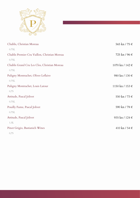

| Chablis, Christian Moreau                     | 565 kn / 75 €     |
|-----------------------------------------------|-------------------|
| 0.75L                                         |                   |
| Chablis Premier Cru Vaillon, Christian Moreau | 725 kn / 96 €     |
| 0.75L                                         |                   |
| Chablis Grand Cru Les Clos, Christian Moreau  | 1070 kn / 142 €   |
| 0.75L                                         |                   |
| Puligny Montrachet, Oliver Leflaive           | 980 kn / 130 €    |
| 0.75L                                         |                   |
| Puligny Montrachet, Louis Latour              | 1150 kn / 153 €   |
| 0,75                                          |                   |
| Attitude, Pascal Jolivet                      | 550 kn / 73 €     |
| 0.75L                                         |                   |
| Pouilly Fume, Pascal Jolivet                  | 590 kn / 78 €     |
| 0.75L                                         |                   |
| Attitude, Pascal Jolivet                      | 935 kn / 124 €    |
| 1.5L                                          |                   |
| Pinot Grigio, Bastianich Wines                | 410 kn / 54 $\in$ |
| 0,75                                          |                   |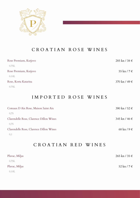

#### CROATIAN ROSE WINES

| Rose Premium, Kutjevo | $285 \text{ kn} / 38 \in$ |
|-----------------------|---------------------------|
| 0.75L                 |                           |
| Rose Premium, Kutjevo | 55 kn / 7 $\in$           |
| 0.10L                 |                           |
| Rose, Korta Katarina  | 370 kn / 49 $\in$         |
| 0.75L                 |                           |

#### IMPORTED ROSE WINES

| Coteaux D Aix Rose, Maison Saint Aix    | 390 kn / 52 $\in$         |
|-----------------------------------------|---------------------------|
| 0.75                                    |                           |
| Clarendelle Rose, Clarence Dillon Wines | 345 kn / 46 €             |
| 0.75                                    |                           |
| Clarendelle Rose, Clarence Dillon Wines | $68 \text{ kn}$ / 9 $\in$ |
|                                         |                           |

## CROATIAN RED WINES

| Plavac, Miljas | $265 \text{ kn} / 35 \in$ |
|----------------|---------------------------|
| 0.75L          |                           |
| Plavac, Miljas | $52 \text{ kn}$ / 7 $\in$ |
| 0.10L          |                           |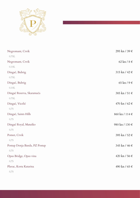

| Negromant, Crvik              | 295 kn / 39 €     |
|-------------------------------|-------------------|
| 0.75L                         |                   |
| Negromant, Crvik              | 62 kn / $8 \in$   |
| 0.10L                         |                   |
| Dingač, Bubrig                | 315 kn / 42 $\in$ |
| 0.75L                         |                   |
| Dingač, Bubrig                | 65 kn / 9 $\in$   |
| 0.10L                         |                   |
| Dingač Reserva, Skaramuča     | 385 kn / 51 €     |
| 0.75L                         |                   |
| Dingač, Vicelić               | 470 kn / 62 $\in$ |
| 0,75                          |                   |
| Dingač, Saints Hills          | 860 kn / 114 €    |
| 0,75                          |                   |
| Dingač Royal, Matuško         | 980 kn / 130 €    |
| 0,75                          |                   |
| Pomet, Crvik                  | 395 kn / 52 €     |
| 0,75                          |                   |
| Postup Donja Banda, PZ Postup | 345 kn / 46 €     |
| 0,75                          |                   |
| Opus Bridge, Opus vina        | 420 kn / 56 €     |
| 0,75                          |                   |
| Plavac, Korta Katarina        | 490 kn / 65 €     |
| 0,75                          |                   |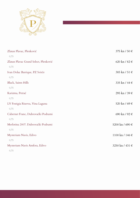

| Zlatan Plavac, Plenković              | 375 kn / 50 $\in$           |
|---------------------------------------|-----------------------------|
| 0,75                                  |                             |
| Zlatan Plavac Grand Select, Plenković | 620 kn / 82 $\in$           |
| 0,75                                  |                             |
| Ivan Dolac Barrique, PZ Svirče        | 385 kn / 51 €               |
| 0,75                                  |                             |
| Black, Saints Hills                   | 335 kn / 44 $\in$           |
| 0,75                                  |                             |
| Karizma, Petrač                       | 295 kn / 39 €               |
| 0,75                                  |                             |
| LV Festigia Riserva, Vina Laguna      | 520 kn / 69 €               |
| 0,75                                  |                             |
| Cabernet Franc, Dubrovački Podrumi    | 690 kn / 92 €               |
| 0,75                                  |                             |
| Merlotina 2007. Dubrovački Podrumi    | 5200 kn / 690 €             |
| 0,75                                  |                             |
| Mysterium Navis, Edivo                | $1100 \text{ kn} / 146 \in$ |
| 0,75                                  |                             |
| Mysterium Navis Amfora, Edivo         | 3250 kn / 431 €             |
| 0,75                                  |                             |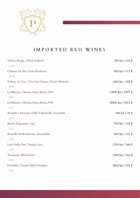

## IMPORTED RED WINES

| Volnay Rouge, Oliver Leflaive<br>0.75L                  | 780 kn / 104 €    |
|---------------------------------------------------------|-------------------|
| Chateau De Pez, Louis Roederer<br>0.75L                 | 885 kn / 117 €    |
| Volnay 1st Cru - Clos Des Chenes, Xavier Monnot<br>0,75 | 1450 kn / 192 €   |
| La Mission, Chateau Haut-Brion 1998.<br>0,75            | 14900 kn / 1977 € |
| La Mission, Chateau Haut-Brion 2009.<br>0,75            | 29500 kn / 3915 € |
| Acinatico Amarone Della Valpolicella, Accordini<br>0,75 | 590 kn / 78 €     |
| Barolo Dagromis, Gaja<br>0,75                           | 920 kn / 122 €    |
| Brunello di Montalcino, Frescobaldi<br>0,75             | 985 kn / 131 €    |
| Luce Della Vite, Tenuta Luce<br>0,75                    | 1250 kn / 166 €   |
| Testamata, Bibi Graetz                                  | 1400 kn / 186 €   |
| 0,75<br>Ornellaia, Tenuta Della Ornellaia               | 2850 kn / 378 €   |
| 0,75                                                    |                   |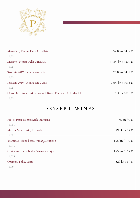

| Massetino, Tenuta Della Ornellaia                         | $3600 \text{ kn} / 478 \in$   |
|-----------------------------------------------------------|-------------------------------|
| 0,75                                                      |                               |
| Masseto, Tenuta Della Ornellaia                           | $11900 \text{ kn} / 1579 \in$ |
| 0,75                                                      |                               |
| Sassicaia 2017. Tenuta San Guido                          | 3250 kn / 431 $\in$           |
| 0,75                                                      |                               |
| Sassicaia 2016. Tenuta San Guido                          | 7800 kn / 1035 €              |
| 0,75                                                      |                               |
| Opus One, Robert Mondavi and Baron Philippe De Rothschild | 7570 kn / 1005 €              |
| 0,75                                                      |                               |

# DESSERT WINES

| Prošek Petar Hectorovich, Bastijana      | $65 \text{ kn}$ / 9 $\in$ |
|------------------------------------------|---------------------------|
| 0.05L                                    |                           |
| Muškat Momjanski, Kozlović               | 290 kn / 38 $\in$         |
| 0.5L                                     |                           |
| Traminac ledena berba, Vinarija Kutjevo  | 895 kn / 119 €            |
| 0,375                                    |                           |
| Graševina ledena berba, Vinarija Kutjevo | 895 kn / 119 €            |
| 0,375                                    |                           |
| Oremus, Tokay Aszu                       | 520 kn / 69 $\in$         |
| 0,50                                     |                           |